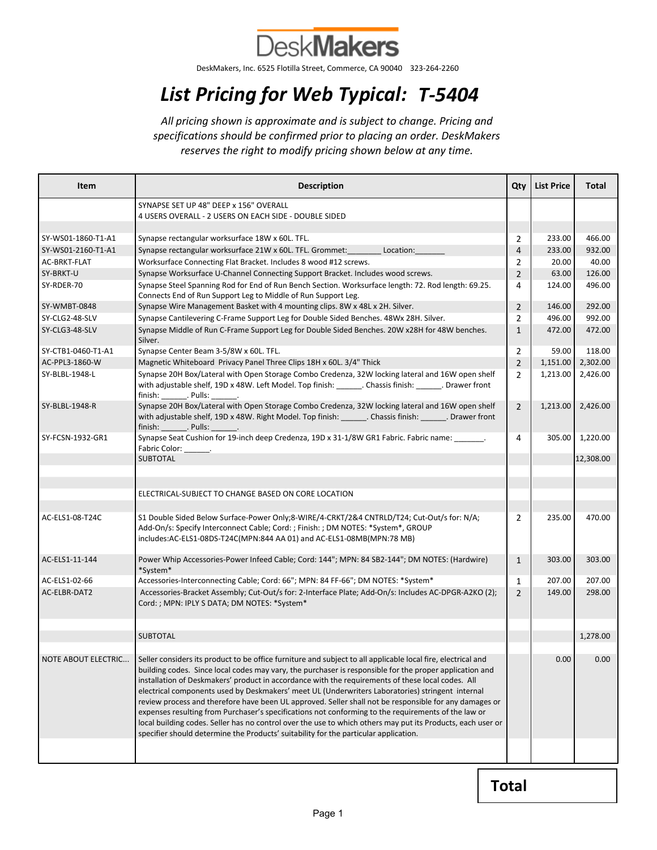

DeskMakers, Inc. 6525 Flotilla Street, Commerce, CA 90040 323-264-2260

## List Pricing for Web Typical: T-5404

All pricing shown is approximate and is subject to change. Pricing and specifications should be confirmed prior to placing an order. DeskMakers reserves the right to modify pricing shown below at any time.

| <b>Item</b>                              | <b>Description</b>                                                                                                                                                                                                                                                                                                                                                                                                                                                                                                                                                                                                                                                                                                                                                                                                                                       | Qty                 | <b>List Price</b> | Total            |
|------------------------------------------|----------------------------------------------------------------------------------------------------------------------------------------------------------------------------------------------------------------------------------------------------------------------------------------------------------------------------------------------------------------------------------------------------------------------------------------------------------------------------------------------------------------------------------------------------------------------------------------------------------------------------------------------------------------------------------------------------------------------------------------------------------------------------------------------------------------------------------------------------------|---------------------|-------------------|------------------|
|                                          | SYNAPSE SET UP 48" DEEP x 156" OVERALL                                                                                                                                                                                                                                                                                                                                                                                                                                                                                                                                                                                                                                                                                                                                                                                                                   |                     |                   |                  |
|                                          | 4 USERS OVERALL - 2 USERS ON EACH SIDE - DOUBLE SIDED                                                                                                                                                                                                                                                                                                                                                                                                                                                                                                                                                                                                                                                                                                                                                                                                    |                     |                   |                  |
|                                          |                                                                                                                                                                                                                                                                                                                                                                                                                                                                                                                                                                                                                                                                                                                                                                                                                                                          |                     |                   |                  |
| SY-WS01-1860-T1-A1<br>SY-WS01-2160-T1-A1 | Synapse rectangular worksurface 18W x 60L. TFL.<br>Location:                                                                                                                                                                                                                                                                                                                                                                                                                                                                                                                                                                                                                                                                                                                                                                                             | 2                   | 233.00<br>233.00  | 466.00<br>932.00 |
| AC-BRKT-FLAT                             | Synapse rectangular worksurface 21W x 60L. TFL. Grommet:<br>Worksurface Connecting Flat Bracket. Includes 8 wood #12 screws.                                                                                                                                                                                                                                                                                                                                                                                                                                                                                                                                                                                                                                                                                                                             | 4<br>$\overline{2}$ | 20.00             | 40.00            |
| SY-BRKT-U                                | Synapse Worksurface U-Channel Connecting Support Bracket. Includes wood screws.                                                                                                                                                                                                                                                                                                                                                                                                                                                                                                                                                                                                                                                                                                                                                                          | $\overline{2}$      | 63.00             | 126.00           |
| SY-RDER-70                               | Synapse Steel Spanning Rod for End of Run Bench Section. Worksurface length: 72. Rod length: 69.25.                                                                                                                                                                                                                                                                                                                                                                                                                                                                                                                                                                                                                                                                                                                                                      | 4                   | 124.00            | 496.00           |
|                                          | Connects End of Run Support Leg to Middle of Run Support Leg.                                                                                                                                                                                                                                                                                                                                                                                                                                                                                                                                                                                                                                                                                                                                                                                            |                     |                   |                  |
| <b>SY-WMBT-0848</b>                      | Synapse Wire Management Basket with 4 mounting clips. 8W x 48L x 2H. Silver.                                                                                                                                                                                                                                                                                                                                                                                                                                                                                                                                                                                                                                                                                                                                                                             | $\overline{2}$      | 146.00            | 292.00           |
| SY-CLG2-48-SLV                           | Synapse Cantilevering C-Frame Support Leg for Double Sided Benches. 48Wx 28H. Silver.                                                                                                                                                                                                                                                                                                                                                                                                                                                                                                                                                                                                                                                                                                                                                                    | 2                   | 496.00            | 992.00           |
| SY-CLG3-48-SLV                           | Synapse Middle of Run C-Frame Support Leg for Double Sided Benches. 20W x28H for 48W benches.<br>Silver.                                                                                                                                                                                                                                                                                                                                                                                                                                                                                                                                                                                                                                                                                                                                                 | $\mathbf{1}$        | 472.00            | 472.00           |
| SY-CTB1-0460-T1-A1                       | Synapse Center Beam 3-5/8W x 60L. TFL.                                                                                                                                                                                                                                                                                                                                                                                                                                                                                                                                                                                                                                                                                                                                                                                                                   | 2                   | 59.00             | 118.00           |
| AC-PPL3-1860-W                           | Magnetic Whiteboard Privacy Panel Three Clips 18H x 60L. 3/4" Thick                                                                                                                                                                                                                                                                                                                                                                                                                                                                                                                                                                                                                                                                                                                                                                                      | $\overline{2}$      | 1,151.00          | 2,302.00         |
| SY-BLBL-1948-L                           | Synapse 20H Box/Lateral with Open Storage Combo Credenza, 32W locking lateral and 16W open shelf<br>with adjustable shelf, 19D x 48W. Left Model. Top finish: _______. Chassis finish: ______. Drawer front<br>finish: Pulls:                                                                                                                                                                                                                                                                                                                                                                                                                                                                                                                                                                                                                            | $\overline{2}$      | 1,213.00          | 2,426.00         |
| SY-BLBL-1948-R                           | Synapse 20H Box/Lateral with Open Storage Combo Credenza, 32W locking lateral and 16W open shelf<br>with adjustable shelf, 19D x 48W. Right Model. Top finish: ______. Chassis finish: ______. Drawer front<br>finish: Pulls: .                                                                                                                                                                                                                                                                                                                                                                                                                                                                                                                                                                                                                          | $\overline{2}$      | 1,213.00          | 2,426.00         |
| SY-FCSN-1932-GR1                         | Synapse Seat Cushion for 19-inch deep Credenza, 19D x 31-1/8W GR1 Fabric. Fabric name:<br>Fabric Color: _______.                                                                                                                                                                                                                                                                                                                                                                                                                                                                                                                                                                                                                                                                                                                                         | 4                   | 305.00            | 1,220.00         |
|                                          | <b>SUBTOTAL</b>                                                                                                                                                                                                                                                                                                                                                                                                                                                                                                                                                                                                                                                                                                                                                                                                                                          |                     |                   | 12,308.00        |
|                                          |                                                                                                                                                                                                                                                                                                                                                                                                                                                                                                                                                                                                                                                                                                                                                                                                                                                          |                     |                   |                  |
|                                          |                                                                                                                                                                                                                                                                                                                                                                                                                                                                                                                                                                                                                                                                                                                                                                                                                                                          |                     |                   |                  |
|                                          | ELECTRICAL-SUBJECT TO CHANGE BASED ON CORE LOCATION                                                                                                                                                                                                                                                                                                                                                                                                                                                                                                                                                                                                                                                                                                                                                                                                      |                     |                   |                  |
| AC-ELS1-08-T24C                          | S1 Double Sided Below Surface-Power Only;8-WIRE/4-CRKT/2&4 CNTRLD/T24; Cut-Out/s for: N/A;<br>Add-On/s: Specify Interconnect Cable; Cord: ; Finish: ; DM NOTES: *System*, GROUP<br>includes:AC-ELS1-08DS-T24C(MPN:844 AA 01) and AC-ELS1-08MB(MPN:78 MB)                                                                                                                                                                                                                                                                                                                                                                                                                                                                                                                                                                                                 | $\overline{2}$      | 235.00            | 470.00           |
| AC-ELS1-11-144                           | Power Whip Accessories-Power Infeed Cable; Cord: 144"; MPN: 84 SB2-144"; DM NOTES: (Hardwire)<br>*System*                                                                                                                                                                                                                                                                                                                                                                                                                                                                                                                                                                                                                                                                                                                                                | $\mathbf{1}$        | 303.00            | 303.00           |
| AC-ELS1-02-66                            | Accessories-Interconnecting Cable; Cord: 66"; MPN: 84 FF-66"; DM NOTES: *System*                                                                                                                                                                                                                                                                                                                                                                                                                                                                                                                                                                                                                                                                                                                                                                         | $\mathbf{1}$        | 207.00            | 207.00           |
| AC-ELBR-DAT2                             | Accessories-Bracket Assembly; Cut-Out/s for: 2-Interface Plate; Add-On/s: Includes AC-DPGR-A2KO (2);<br>Cord: ; MPN: IPLY S DATA; DM NOTES: *System*                                                                                                                                                                                                                                                                                                                                                                                                                                                                                                                                                                                                                                                                                                     | $\overline{2}$      | 149.00            | 298.00           |
|                                          |                                                                                                                                                                                                                                                                                                                                                                                                                                                                                                                                                                                                                                                                                                                                                                                                                                                          |                     |                   |                  |
|                                          | <b>SUBTOTAL</b>                                                                                                                                                                                                                                                                                                                                                                                                                                                                                                                                                                                                                                                                                                                                                                                                                                          |                     |                   | 1,278.00         |
|                                          |                                                                                                                                                                                                                                                                                                                                                                                                                                                                                                                                                                                                                                                                                                                                                                                                                                                          |                     |                   |                  |
| NOTE ABOUT ELECTRIC                      | Seller considers its product to be office furniture and subject to all applicable local fire, electrical and<br>building codes. Since local codes may vary, the purchaser is responsible for the proper application and<br>installation of Deskmakers' product in accordance with the requirements of these local codes. All<br>electrical components used by Deskmakers' meet UL (Underwriters Laboratories) stringent internal<br>review process and therefore have been UL approved. Seller shall not be responsible for any damages or<br>expenses resulting from Purchaser's specifications not conforming to the requirements of the law or<br>local building codes. Seller has no control over the use to which others may put its Products, each user or<br>specifier should determine the Products' suitability for the particular application. |                     | 0.00              | 0.00             |
|                                          |                                                                                                                                                                                                                                                                                                                                                                                                                                                                                                                                                                                                                                                                                                                                                                                                                                                          |                     |                   |                  |

Total